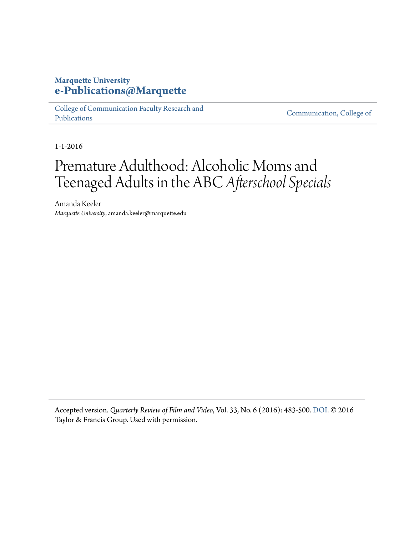#### **Marquette University [e-Publications@Marquette](https://epublications.marquette.edu)**

[College of Communication Faculty Research and](https://epublications.marquette.edu/comm_fac) [Publications](https://epublications.marquette.edu/comm_fac)

[Communication, College of](https://epublications.marquette.edu/communication)

1-1-2016

## Premature Adulthood: Alcoholic Moms and Teenaged Adults in the ABC*Afterschool Specials*

Amanda Keeler *Marquette University*, amanda.keeler@marquette.edu

Accepted version. *Quarterly Review of Film and Video*, Vol. 33, No. 6 (2016): 483-500. [DOI](http://dx.doi.org/10.1080/10509208.2015.1129493). © 2016 Taylor & Francis Group. Used with permission.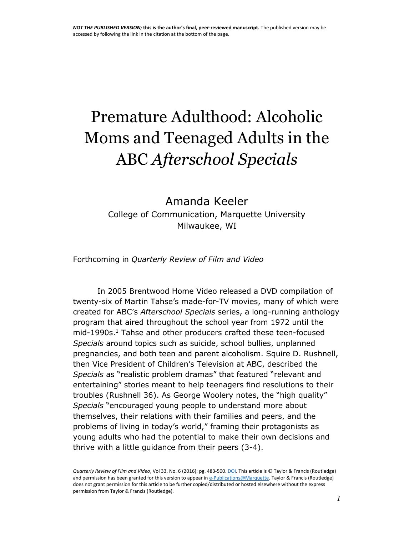# Premature Adulthood: Alcoholic Moms and Teenaged Adults in the ABC *Afterschool Specials*

## Amanda Keeler College of Communication, Marquette University Milwaukee, WI

Forthcoming in *Quarterly Review of Film and Video*

In 2005 Brentwood Home Video released a DVD compilation of twenty-six of Martin Tahse's made-for-TV movies, many of which were created for ABC's *Afterschool Specials* series, a long-running anthology program that aired throughout the school year from 1972 until the mid-1990s.<sup>1</sup> Tahse and other producers crafted these teen-focused *Specials* around topics such as suicide, school bullies, unplanned pregnancies, and both teen and parent alcoholism. Squire D. Rushnell, then Vice President of Children's Television at ABC, described the *Specials* as "realistic problem dramas" that featured "relevant and entertaining" stories meant to help teenagers find resolutions to their troubles (Rushnell 36). As George Woolery notes, the "high quality" *Specials* "encouraged young people to understand more about themselves, their relations with their families and peers, and the problems of living in today's world," framing their protagonists as young adults who had the potential to make their own decisions and thrive with a little guidance from their peers (3-4).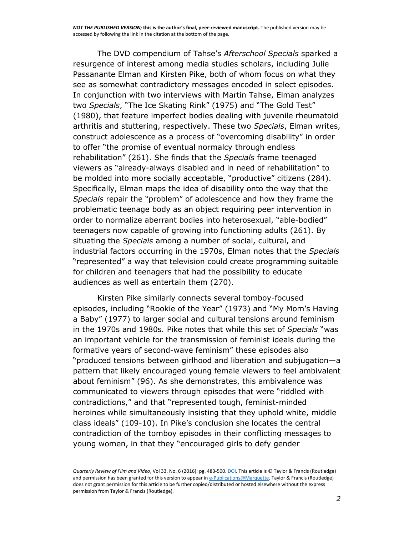The DVD compendium of Tahse's *Afterschool Specials* sparked a resurgence of interest among media studies scholars, including Julie Passanante Elman and Kirsten Pike, both of whom focus on what they see as somewhat contradictory messages encoded in select episodes. In conjunction with two interviews with Martin Tahse, Elman analyzes two *Specials*, "The Ice Skating Rink" (1975) and "The Gold Test" (1980), that feature imperfect bodies dealing with juvenile rheumatoid arthritis and stuttering, respectively. These two *Specials*, Elman writes, construct adolescence as a process of "overcoming disability" in order to offer "the promise of eventual normalcy through endless rehabilitation" (261). She finds that the *Specials* frame teenaged viewers as "already-always disabled and in need of rehabilitation" to be molded into more socially acceptable, "productive" citizens (284). Specifically, Elman maps the idea of disability onto the way that the *Specials* repair the "problem" of adolescence and how they frame the problematic teenage body as an object requiring peer intervention in order to normalize aberrant bodies into heterosexual, "able-bodied" teenagers now capable of growing into functioning adults (261). By situating the *Specials* among a number of social, cultural, and industrial factors occurring in the 1970s, Elman notes that the *Specials* "represented" a way that television could create programming suitable for children and teenagers that had the possibility to educate audiences as well as entertain them (270).

Kirsten Pike similarly connects several tomboy-focused episodes, including "Rookie of the Year" (1973) and "My Mom's Having a Baby" (1977) to larger social and cultural tensions around feminism in the 1970s and 1980s*.* Pike notes that while this set of *Specials* "was an important vehicle for the transmission of feminist ideals during the formative years of second-wave feminism" these episodes also "produced tensions between girlhood and liberation and subjugation—a pattern that likely encouraged young female viewers to feel ambivalent about feminism" (96). As she demonstrates, this ambivalence was communicated to viewers through episodes that were "riddled with contradictions," and that "represented tough, feminist-minded heroines while simultaneously insisting that they uphold white, middle class ideals" (109-10). In Pike's conclusion she locates the central contradiction of the tomboy episodes in their conflicting messages to young women, in that they "encouraged girls to defy gender

*Quarterly Review of Film and Video*, Vol 33, No. 6 (2016): pg. 483-500[. DOI.](http://dx.doi.org/10.1080/10509208.2015.1129493) This article is © Taylor & Francis (Routledge) and permission has been granted for this version to appear i[n e-Publications@Marquette.](http://epublications.marquette.edu/) Taylor & Francis (Routledge) does not grant permission for this article to be further copied/distributed or hosted elsewhere without the express permission from Taylor & Francis (Routledge).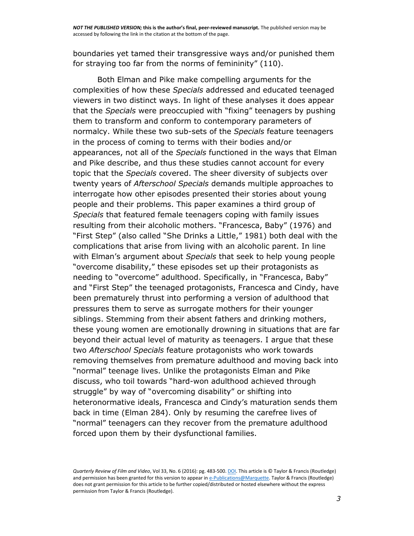boundaries yet tamed their transgressive ways and/or punished them for straying too far from the norms of femininity" (110).

Both Elman and Pike make compelling arguments for the complexities of how these *Specials* addressed and educated teenaged viewers in two distinct ways. In light of these analyses it does appear that the *Specials* were preoccupied with "fixing" teenagers by pushing them to transform and conform to contemporary parameters of normalcy. While these two sub-sets of the *Specials* feature teenagers in the process of coming to terms with their bodies and/or appearances, not all of the *Specials* functioned in the ways that Elman and Pike describe, and thus these studies cannot account for every topic that the *Specials* covered. The sheer diversity of subjects over twenty years of *Afterschool Specials* demands multiple approaches to interrogate how other episodes presented their stories about young people and their problems. This paper examines a third group of *Specials* that featured female teenagers coping with family issues resulting from their alcoholic mothers. "Francesca, Baby" (1976) and "First Step" (also called "She Drinks a Little," 1981) both deal with the complications that arise from living with an alcoholic parent. In line with Elman's argument about *Specials* that seek to help young people "overcome disability," these episodes set up their protagonists as needing to "overcome" adulthood. Specifically, in "Francesca, Baby" and "First Step" the teenaged protagonists, Francesca and Cindy, have been prematurely thrust into performing a version of adulthood that pressures them to serve as surrogate mothers for their younger siblings. Stemming from their absent fathers and drinking mothers, these young women are emotionally drowning in situations that are far beyond their actual level of maturity as teenagers. I argue that these two *Afterschool Specials* feature protagonists who work towards removing themselves from premature adulthood and moving back into "normal" teenage lives. Unlike the protagonists Elman and Pike discuss, who toil towards "hard-won adulthood achieved through struggle" by way of "overcoming disability" or shifting into heteronormative ideals, Francesca and Cindy's maturation sends them back in time (Elman 284). Only by resuming the carefree lives of "normal" teenagers can they recover from the premature adulthood forced upon them by their dysfunctional families.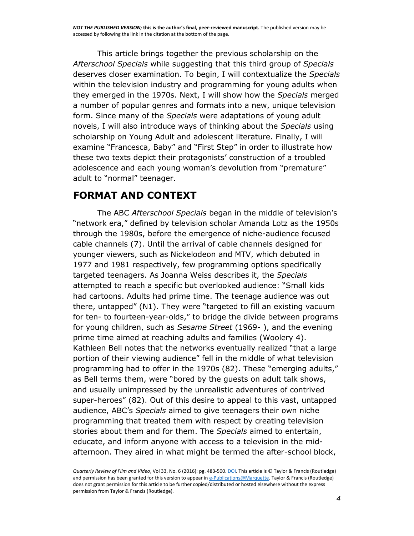This article brings together the previous scholarship on the *Afterschool Specials* while suggesting that this third group of *Specials* deserves closer examination. To begin, I will contextualize the *Specials* within the television industry and programming for young adults when they emerged in the 1970s. Next, I will show how the *Specials* merged a number of popular genres and formats into a new, unique television form. Since many of the *Specials* were adaptations of young adult novels, I will also introduce ways of thinking about the *Specials* using scholarship on Young Adult and adolescent literature. Finally, I will examine "Francesca, Baby" and "First Step" in order to illustrate how these two texts depict their protagonists' construction of a troubled adolescence and each young woman's devolution from "premature" adult to "normal" teenager.

#### **FORMAT AND CONTEXT**

The ABC *Afterschool Specials* began in the middle of television's "network era," defined by television scholar Amanda Lotz as the 1950s through the 1980s, before the emergence of niche-audience focused cable channels (7). Until the arrival of cable channels designed for younger viewers, such as Nickelodeon and MTV, which debuted in 1977 and 1981 respectively, few programming options specifically targeted teenagers. As Joanna Weiss describes it, the *Specials* attempted to reach a specific but overlooked audience: "Small kids had cartoons. Adults had prime time. The teenage audience was out there, untapped" (N1). They were "targeted to fill an existing vacuum for ten- to fourteen-year-olds," to bridge the divide between programs for young children, such as *Sesame Street* (1969- ), and the evening prime time aimed at reaching adults and families (Woolery 4). Kathleen Bell notes that the networks eventually realized "that a large portion of their viewing audience" fell in the middle of what television programming had to offer in the 1970s (82). These "emerging adults," as Bell terms them, were "bored by the guests on adult talk shows, and usually unimpressed by the unrealistic adventures of contrived super-heroes" (82). Out of this desire to appeal to this vast, untapped audience, ABC's *Specials* aimed to give teenagers their own niche programming that treated them with respect by creating television stories about them and for them. The *Specials* aimed to entertain, educate, and inform anyone with access to a television in the midafternoon. They aired in what might be termed the after-school block,

*Quarterly Review of Film and Video*, Vol 33, No. 6 (2016): pg. 483-500[. DOI.](http://dx.doi.org/10.1080/10509208.2015.1129493) This article is © Taylor & Francis (Routledge) and permission has been granted for this version to appear i[n e-Publications@Marquette.](http://epublications.marquette.edu/) Taylor & Francis (Routledge) does not grant permission for this article to be further copied/distributed or hosted elsewhere without the express permission from Taylor & Francis (Routledge).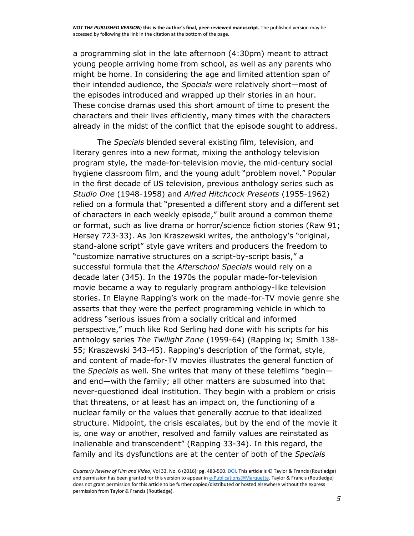a programming slot in the late afternoon (4:30pm) meant to attract young people arriving home from school, as well as any parents who might be home. In considering the age and limited attention span of their intended audience, the *Specials* were relatively short—most of the episodes introduced and wrapped up their stories in an hour. These concise dramas used this short amount of time to present the characters and their lives efficiently, many times with the characters already in the midst of the conflict that the episode sought to address.

The *Specials* blended several existing film, television, and literary genres into a new format, mixing the anthology television program style, the made-for-television movie, the mid-century social hygiene classroom film, and the young adult "problem novel." Popular in the first decade of US television, previous anthology series such as *Studio One* (1948-1958) and *Alfred Hitchcock Presents* (1955-1962) relied on a formula that "presented a different story and a different set of characters in each weekly episode," built around a common theme or format, such as live drama or horror/science fiction stories (Raw 91; Hersey 723-33). As Jon Kraszewski writes, the anthology's "original, stand-alone script" style gave writers and producers the freedom to "customize narrative structures on a script-by-script basis," a successful formula that the *Afterschool Specials* would rely on a decade later (345). In the 1970s the popular made-for-television movie became a way to regularly program anthology-like television stories. In Elayne Rapping's work on the made-for-TV movie genre she asserts that they were the perfect programming vehicle in which to address "serious issues from a socially critical and informed perspective," much like Rod Serling had done with his scripts for his anthology series *The Twilight Zone* (1959-64) (Rapping ix; Smith 138- 55; Kraszewski 343-45). Rapping's description of the format, style, and content of made-for-TV movies illustrates the general function of the *Specials* as well. She writes that many of these telefilms "begin and end—with the family; all other matters are subsumed into that never-questioned ideal institution. They begin with a problem or crisis that threatens, or at least has an impact on, the functioning of a nuclear family or the values that generally accrue to that idealized structure. Midpoint, the crisis escalates, but by the end of the movie it is, one way or another, resolved and family values are reinstated as inalienable and transcendent" (Rapping 33-34). In this regard, the family and its dysfunctions are at the center of both of the *Specials*

*Quarterly Review of Film and Video*, Vol 33, No. 6 (2016): pg. 483-500[. DOI.](http://dx.doi.org/10.1080/10509208.2015.1129493) This article is © Taylor & Francis (Routledge) and permission has been granted for this version to appear i[n e-Publications@Marquette.](http://epublications.marquette.edu/) Taylor & Francis (Routledge) does not grant permission for this article to be further copied/distributed or hosted elsewhere without the express permission from Taylor & Francis (Routledge).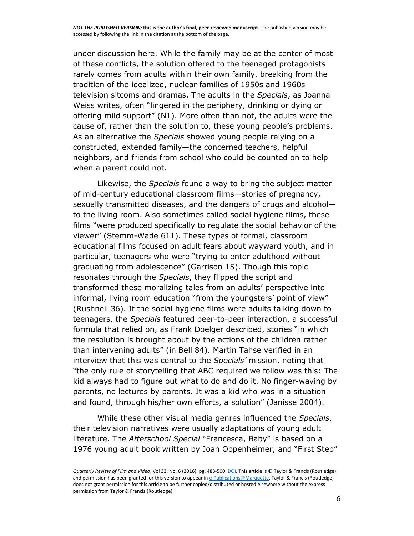under discussion here. While the family may be at the center of most of these conflicts, the solution offered to the teenaged protagonists rarely comes from adults within their own family, breaking from the tradition of the idealized, nuclear families of 1950s and 1960s television sitcoms and dramas. The adults in the *Specials*, as Joanna Weiss writes, often "lingered in the periphery, drinking or dying or offering mild support" (N1). More often than not, the adults were the cause of, rather than the solution to, these young people's problems. As an alternative the *Specials* showed young people relying on a constructed, extended family—the concerned teachers, helpful neighbors, and friends from school who could be counted on to help when a parent could not.

Likewise, the *Specials* found a way to bring the subject matter of mid-century educational classroom films—stories of pregnancy, sexually transmitted diseases, and the dangers of drugs and alcohol to the living room. Also sometimes called social hygiene films, these films "were produced specifically to regulate the social behavior of the viewer" (Stemm-Wade 611). These types of formal, classroom educational films focused on adult fears about wayward youth, and in particular, teenagers who were "trying to enter adulthood without graduating from adolescence" (Garrison 15). Though this topic resonates through the *Specials*, they flipped the script and transformed these moralizing tales from an adults' perspective into informal, living room education "from the youngsters' point of view" (Rushnell 36). If the social hygiene films were adults talking down to teenagers, the *Specials* featured peer-to-peer interaction, a successful formula that relied on, as Frank Doelger described, stories "in which the resolution is brought about by the actions of the children rather than intervening adults" (in Bell 84). Martin Tahse verified in an interview that this was central to the *Specials'* mission, noting that "the only rule of storytelling that ABC required we follow was this: The kid always had to figure out what to do and do it. No finger-waving by parents, no lectures by parents. It was a kid who was in a situation and found, through his/her own efforts, a solution" (Janisse 2004).

While these other visual media genres influenced the *Specials*, their television narratives were usually adaptations of young adult literature. The *Afterschool Special* "Francesca, Baby" is based on a 1976 young adult book written by Joan Oppenheimer, and "First Step"

*Quarterly Review of Film and Video*, Vol 33, No. 6 (2016): pg. 483-500[. DOI.](http://dx.doi.org/10.1080/10509208.2015.1129493) This article is © Taylor & Francis (Routledge) and permission has been granted for this version to appear i[n e-Publications@Marquette.](http://epublications.marquette.edu/) Taylor & Francis (Routledge) does not grant permission for this article to be further copied/distributed or hosted elsewhere without the express permission from Taylor & Francis (Routledge).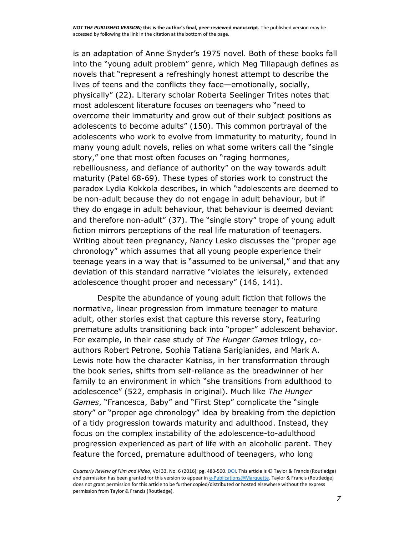is an adaptation of Anne Snyder's 1975 novel. Both of these books fall into the "young adult problem" genre, which Meg Tillapaugh defines as novels that "represent a refreshingly honest attempt to describe the lives of teens and the conflicts they face—emotionally, socially, physically" (22). Literary scholar Roberta Seelinger Trites notes that most adolescent literature focuses on teenagers who "need to overcome their immaturity and grow out of their subject positions as adolescents to become adults" (150). This common portrayal of the adolescents who work to evolve from immaturity to maturity, found in many young adult novels, relies on what some writers call the "single story," one that most often focuses on "raging hormones, rebelliousness, and defiance of authority" on the way towards adult maturity (Patel 68-69). These types of stories work to construct the paradox Lydia Kokkola describes, in which "adolescents are deemed to be non-adult because they do not engage in adult behaviour, but if they do engage in adult behaviour, that behaviour is deemed deviant and therefore non-adult" (37). The "single story" trope of young adult fiction mirrors perceptions of the real life maturation of teenagers. Writing about teen pregnancy, Nancy Lesko discusses the "proper age chronology" which assumes that all young people experience their teenage years in a way that is "assumed to be universal," and that any deviation of this standard narrative "violates the leisurely, extended adolescence thought proper and necessary" (146, 141).

Despite the abundance of young adult fiction that follows the normative, linear progression from immature teenager to mature adult, other stories exist that capture this reverse story, featuring premature adults transitioning back into "proper" adolescent behavior. For example, in their case study of *The Hunger Games* trilogy, coauthors Robert Petrone, Sophia Tatiana Sarigianides, and Mark A. Lewis note how the character Katniss, in her transformation through the book series, shifts from self-reliance as the breadwinner of her family to an environment in which "she transitions from adulthood to adolescence" (522, emphasis in original). Much like *The Hunger Games*, "Francesca, Baby" and "First Step" complicate the "single story" or "proper age chronology" idea by breaking from the depiction of a tidy progression towards maturity and adulthood. Instead, they focus on the complex instability of the adolescence-to-adulthood progression experienced as part of life with an alcoholic parent. They feature the forced, premature adulthood of teenagers, who long

*Quarterly Review of Film and Video*, Vol 33, No. 6 (2016): pg. 483-500[. DOI.](http://dx.doi.org/10.1080/10509208.2015.1129493) This article is © Taylor & Francis (Routledge) and permission has been granted for this version to appear i[n e-Publications@Marquette.](http://epublications.marquette.edu/) Taylor & Francis (Routledge) does not grant permission for this article to be further copied/distributed or hosted elsewhere without the express permission from Taylor & Francis (Routledge).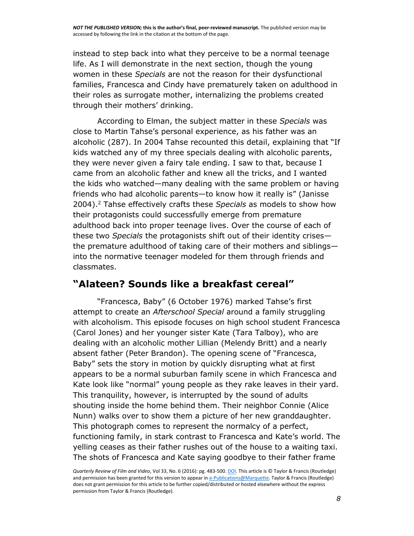instead to step back into what they perceive to be a normal teenage life. As I will demonstrate in the next section, though the young women in these *Specials* are not the reason for their dysfunctional families, Francesca and Cindy have prematurely taken on adulthood in their roles as surrogate mother, internalizing the problems created through their mothers' drinking.

According to Elman, the subject matter in these *Specials* was close to Martin Tahse's personal experience, as his father was an alcoholic (287). In 2004 Tahse recounted this detail, explaining that "If kids watched any of my three specials dealing with alcoholic parents, they were never given a fairy tale ending. I saw to that, because I came from an alcoholic father and knew all the tricks, and I wanted the kids who watched—many dealing with the same problem or having friends who had alcoholic parents—to know how it really is" (Janisse 2004).<sup>2</sup> Tahse effectively crafts these *Specials* as models to show how their protagonists could successfully emerge from premature adulthood back into proper teenage lives. Over the course of each of these two *Specials* the protagonists shift out of their identity crises the premature adulthood of taking care of their mothers and siblings into the normative teenager modeled for them through friends and classmates.

### **"Alateen? Sounds like a breakfast cereal"**

"Francesca, Baby" (6 October 1976) marked Tahse's first attempt to create an *Afterschool Special* around a family struggling with alcoholism. This episode focuses on high school student Francesca (Carol Jones) and her younger sister Kate (Tara Talboy), who are dealing with an alcoholic mother Lillian (Melendy Britt) and a nearly absent father (Peter Brandon). The opening scene of "Francesca, Baby" sets the story in motion by quickly disrupting what at first appears to be a normal suburban family scene in which Francesca and Kate look like "normal" young people as they rake leaves in their yard. This tranquility, however, is interrupted by the sound of adults shouting inside the home behind them. Their neighbor Connie (Alice Nunn) walks over to show them a picture of her new granddaughter. This photograph comes to represent the normalcy of a perfect, functioning family, in stark contrast to Francesca and Kate's world. The yelling ceases as their father rushes out of the house to a waiting taxi. The shots of Francesca and Kate saying goodbye to their father frame

*Quarterly Review of Film and Video*, Vol 33, No. 6 (2016): pg. 483-500[. DOI.](http://dx.doi.org/10.1080/10509208.2015.1129493) This article is © Taylor & Francis (Routledge) and permission has been granted for this version to appear i[n e-Publications@Marquette.](http://epublications.marquette.edu/) Taylor & Francis (Routledge) does not grant permission for this article to be further copied/distributed or hosted elsewhere without the express permission from Taylor & Francis (Routledge).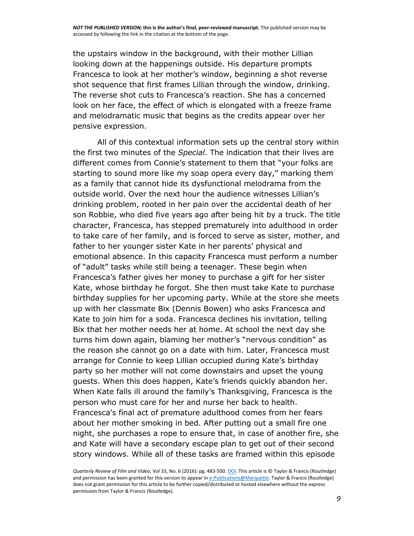the upstairs window in the background, with their mother Lillian looking down at the happenings outside. His departure prompts Francesca to look at her mother's window, beginning a shot reverse shot sequence that first frames Lillian through the window, drinking. The reverse shot cuts to Francesca's reaction. She has a concerned look on her face, the effect of which is elongated with a freeze frame and melodramatic music that begins as the credits appear over her pensive expression.

All of this contextual information sets up the central story within the first two minutes of the *Special*. The indication that their lives are different comes from Connie's statement to them that "your folks are starting to sound more like my soap opera every day," marking them as a family that cannot hide its dysfunctional melodrama from the outside world. Over the next hour the audience witnesses Lillian's drinking problem, rooted in her pain over the accidental death of her son Robbie, who died five years ago after being hit by a truck. The title character, Francesca, has stepped prematurely into adulthood in order to take care of her family, and is forced to serve as sister, mother, and father to her younger sister Kate in her parents' physical and emotional absence. In this capacity Francesca must perform a number of "adult" tasks while still being a teenager. These begin when Francesca's father gives her money to purchase a gift for her sister Kate, whose birthday he forgot. She then must take Kate to purchase birthday supplies for her upcoming party. While at the store she meets up with her classmate Bix (Dennis Bowen) who asks Francesca and Kate to join him for a soda. Francesca declines his invitation, telling Bix that her mother needs her at home. At school the next day she turns him down again, blaming her mother's "nervous condition" as the reason she cannot go on a date with him. Later, Francesca must arrange for Connie to keep Lillian occupied during Kate's birthday party so her mother will not come downstairs and upset the young guests. When this does happen, Kate's friends quickly abandon her. When Kate falls ill around the family's Thanksgiving, Francesca is the person who must care for her and nurse her back to health. Francesca's final act of premature adulthood comes from her fears about her mother smoking in bed. After putting out a small fire one night, she purchases a rope to ensure that, in case of another fire, she and Kate will have a secondary escape plan to get out of their second story windows. While all of these tasks are framed within this episode

*Quarterly Review of Film and Video*, Vol 33, No. 6 (2016): pg. 483-500[. DOI.](http://dx.doi.org/10.1080/10509208.2015.1129493) This article is © Taylor & Francis (Routledge) and permission has been granted for this version to appear i[n e-Publications@Marquette.](http://epublications.marquette.edu/) Taylor & Francis (Routledge) does not grant permission for this article to be further copied/distributed or hosted elsewhere without the express permission from Taylor & Francis (Routledge).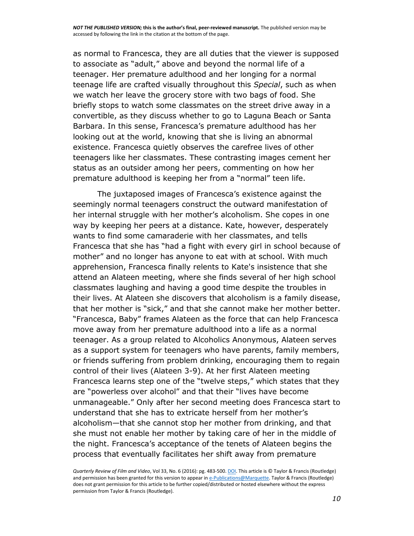as normal to Francesca, they are all duties that the viewer is supposed to associate as "adult," above and beyond the normal life of a teenager. Her premature adulthood and her longing for a normal teenage life are crafted visually throughout this *Special*, such as when we watch her leave the grocery store with two bags of food. She briefly stops to watch some classmates on the street drive away in a convertible, as they discuss whether to go to Laguna Beach or Santa Barbara. In this sense, Francesca's premature adulthood has her looking out at the world, knowing that she is living an abnormal existence. Francesca quietly observes the carefree lives of other teenagers like her classmates. These contrasting images cement her status as an outsider among her peers, commenting on how her premature adulthood is keeping her from a "normal" teen life.

The juxtaposed images of Francesca's existence against the seemingly normal teenagers construct the outward manifestation of her internal struggle with her mother's alcoholism. She copes in one way by keeping her peers at a distance. Kate, however, desperately wants to find some camaraderie with her classmates, and tells Francesca that she has "had a fight with every girl in school because of mother" and no longer has anyone to eat with at school. With much apprehension, Francesca finally relents to Kate's insistence that she attend an Alateen meeting, where she finds several of her high school classmates laughing and having a good time despite the troubles in their lives. At Alateen she discovers that alcoholism is a family disease, that her mother is "sick," and that she cannot make her mother better. "Francesca, Baby" frames Alateen as the force that can help Francesca move away from her premature adulthood into a life as a normal teenager. As a group related to Alcoholics Anonymous, Alateen serves as a support system for teenagers who have parents, family members, or friends suffering from problem drinking, encouraging them to regain control of their lives (Alateen 3-9). At her first Alateen meeting Francesca learns step one of the "twelve steps," which states that they are "powerless over alcohol" and that their "lives have become unmanageable." Only after her second meeting does Francesca start to understand that she has to extricate herself from her mother's alcoholism—that she cannot stop her mother from drinking, and that she must not enable her mother by taking care of her in the middle of the night. Francesca's acceptance of the tenets of Alateen begins the process that eventually facilitates her shift away from premature

*Quarterly Review of Film and Video*, Vol 33, No. 6 (2016): pg. 483-500[. DOI.](http://dx.doi.org/10.1080/10509208.2015.1129493) This article is © Taylor & Francis (Routledge) and permission has been granted for this version to appear i[n e-Publications@Marquette.](http://epublications.marquette.edu/) Taylor & Francis (Routledge) does not grant permission for this article to be further copied/distributed or hosted elsewhere without the express permission from Taylor & Francis (Routledge).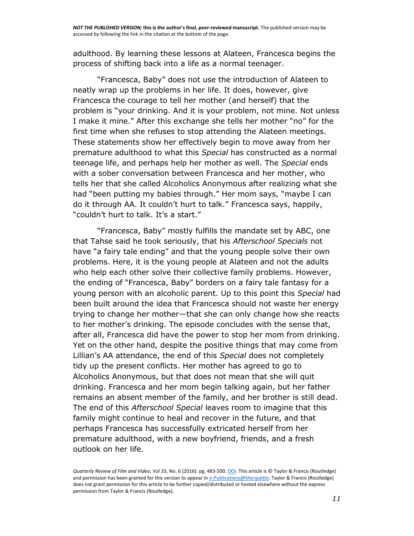adulthood. By learning these lessons at Alateen, Francesca begins the process of shifting back into a life as a normal teenager.

"Francesca, Baby" does not use the introduction of Alateen to neatly wrap up the problems in her life. It does, however, give Francesca the courage to tell her mother (and herself) that the problem is "your drinking. And it is your problem, not mine. Not unless I make it mine." After this exchange she tells her mother "no" for the first time when she refuses to stop attending the Alateen meetings. These statements show her effectively begin to move away from her premature adulthood to what this *Special* has constructed as a normal teenage life, and perhaps help her mother as well. The *Special* ends with a sober conversation between Francesca and her mother, who tells her that she called Alcoholics Anonymous after realizing what she had "been putting my babies through." Her mom says, "maybe I can do it through AA. It couldn't hurt to talk." Francesca says, happily, "couldn't hurt to talk. It's a start."

"Francesca, Baby" mostly fulfills the mandate set by ABC, one that Tahse said he took seriously, that his *Afterschool Specials* not have "a fairy tale ending" and that the young people solve their own problems. Here, it is the young people at Alateen and not the adults who help each other solve their collective family problems. However, the ending of "Francesca, Baby" borders on a fairy tale fantasy for a young person with an alcoholic parent. Up to this point this *Special* had been built around the idea that Francesca should not waste her energy trying to change her mother—that she can only change how she reacts to her mother's drinking. The episode concludes with the sense that, after all, Francesca did have the power to stop her mom from drinking. Yet on the other hand, despite the positive things that may come from Lillian's AA attendance, the end of this *Special* does not completely tidy up the present conflicts. Her mother has agreed to go to Alcoholics Anonymous, but that does not mean that she will quit drinking. Francesca and her mom begin talking again, but her father remains an absent member of the family, and her brother is still dead. The end of this *Afterschool Special* leaves room to imagine that this family might continue to heal and recover in the future, and that perhaps Francesca has successfully extricated herself from her premature adulthood, with a new boyfriend, friends, and a fresh outlook on her life.

*Quarterly Review of Film and Video*, Vol 33, No. 6 (2016): pg. 483-500[. DOI.](http://dx.doi.org/10.1080/10509208.2015.1129493) This article is © Taylor & Francis (Routledge) and permission has been granted for this version to appear i[n e-Publications@Marquette.](http://epublications.marquette.edu/) Taylor & Francis (Routledge) does not grant permission for this article to be further copied/distributed or hosted elsewhere without the express permission from Taylor & Francis (Routledge).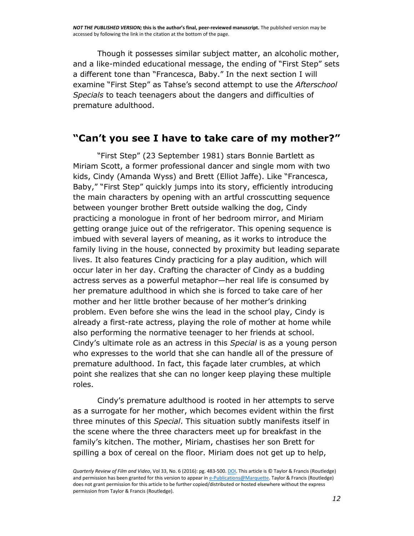*NOT THE PUBLISHED VERSION;* **this is the author's final, peer-reviewed manuscript.** The published version may be accessed by following the link in the citation at the bottom of the page.

Though it possesses similar subject matter, an alcoholic mother, and a like-minded educational message, the ending of "First Step" sets a different tone than "Francesca, Baby." In the next section I will examine "First Step" as Tahse's second attempt to use the *Afterschool Specials* to teach teenagers about the dangers and difficulties of premature adulthood.

#### **"Can't you see I have to take care of my mother?"**

"First Step" (23 September 1981) stars Bonnie Bartlett as Miriam Scott, a former professional dancer and single mom with two kids, Cindy (Amanda Wyss) and Brett (Elliot Jaffe). Like "Francesca, Baby," "First Step" quickly jumps into its story, efficiently introducing the main characters by opening with an artful crosscutting sequence between younger brother Brett outside walking the dog, Cindy practicing a monologue in front of her bedroom mirror, and Miriam getting orange juice out of the refrigerator. This opening sequence is imbued with several layers of meaning, as it works to introduce the family living in the house, connected by proximity but leading separate lives. It also features Cindy practicing for a play audition, which will occur later in her day. Crafting the character of Cindy as a budding actress serves as a powerful metaphor—her real life is consumed by her premature adulthood in which she is forced to take care of her mother and her little brother because of her mother's drinking problem. Even before she wins the lead in the school play, Cindy is already a first-rate actress, playing the role of mother at home while also performing the normative teenager to her friends at school. Cindy's ultimate role as an actress in this *Special* is as a young person who expresses to the world that she can handle all of the pressure of premature adulthood. In fact, this façade later crumbles, at which point she realizes that she can no longer keep playing these multiple roles.

Cindy's premature adulthood is rooted in her attempts to serve as a surrogate for her mother, which becomes evident within the first three minutes of this *Special*. This situation subtly manifests itself in the scene where the three characters meet up for breakfast in the family's kitchen. The mother, Miriam, chastises her son Brett for spilling a box of cereal on the floor. Miriam does not get up to help,

*Quarterly Review of Film and Video*, Vol 33, No. 6 (2016): pg. 483-500[. DOI.](http://dx.doi.org/10.1080/10509208.2015.1129493) This article is © Taylor & Francis (Routledge) and permission has been granted for this version to appear i[n e-Publications@Marquette.](http://epublications.marquette.edu/) Taylor & Francis (Routledge) does not grant permission for this article to be further copied/distributed or hosted elsewhere without the express permission from Taylor & Francis (Routledge).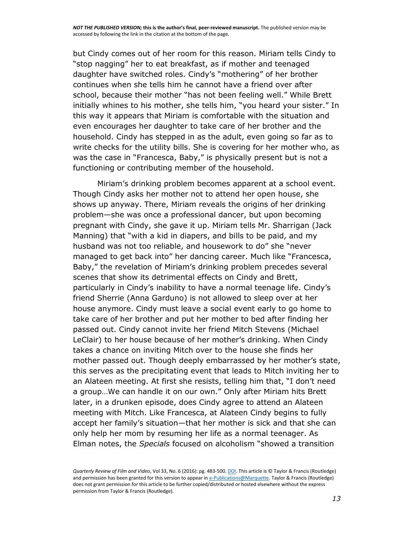but Cindy comes out of her room for this reason. Miriam tells Cindy to "stop nagging" her to eat breakfast, as if mother and teenaged daughter have switched roles. Cindy's "mothering" of her brother continues when she tells him he cannot have a friend over after school, because their mother "has not been feeling well." While Brett initially whines to his mother, she tells him, "you heard your sister." In this way it appears that Miriam is comfortable with the situation and even encourages her daughter to take care of her brother and the household. Cindy has stepped in as the adult, even going so far as to write checks for the utility bills. She is covering for her mother who, as was the case in "Francesca, Baby," is physically present but is not a functioning or contributing member of the household.

Miriam's drinking problem becomes apparent at a school event. Though Cindy asks her mother not to attend her open house, she shows up anyway. There, Miriam reveals the origins of her drinking problem—she was once a professional dancer, but upon becoming pregnant with Cindy, she gave it up. Miriam tells Mr. Sharrigan (Jack Manning) that "with a kid in diapers, and bills to be paid, and my husband was not too reliable, and housework to do" she "never managed to get back into" her dancing career. Much like "Francesca, Baby," the revelation of Miriam's drinking problem precedes several scenes that show its detrimental effects on Cindy and Brett, particularly in Cindy's inability to have a normal teenage life. Cindy's friend Sherrie (Anna Garduno) is not allowed to sleep over at her house anymore. Cindy must leave a social event early to go home to take care of her brother and put her mother to bed after finding her passed out. Cindy cannot invite her friend Mitch Stevens (Michael LeClair) to her house because of her mother's drinking. When Cindy takes a chance on inviting Mitch over to the house she finds her mother passed out. Though deeply embarrassed by her mother's state, this serves as the precipitating event that leads to Mitch inviting her to an Alateen meeting. At first she resists, telling him that, "I don't need a group…We can handle it on our own." Only after Miriam hits Brett later, in a drunken episode, does Cindy agree to attend an Alateen meeting with Mitch. Like Francesca, at Alateen Cindy begins to fully accept her family's situation—that her mother is sick and that she can only help her mom by resuming her life as a normal teenager. As Elman notes, the *Specials* focused on alcoholism "showed a transition

*Quarterly Review of Film and Video*, Vol 33, No. 6 (2016): pg. 483-500[. DOI.](http://dx.doi.org/10.1080/10509208.2015.1129493) This article is © Taylor & Francis (Routledge) and permission has been granted for this version to appear i[n e-Publications@Marquette.](http://epublications.marquette.edu/) Taylor & Francis (Routledge) does not grant permission for this article to be further copied/distributed or hosted elsewhere without the express permission from Taylor & Francis (Routledge).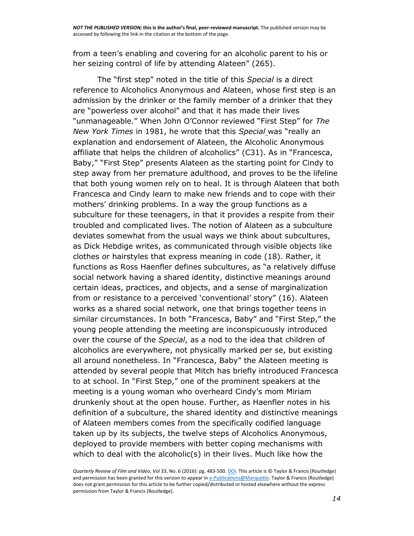from a teen's enabling and covering for an alcoholic parent to his or her seizing control of life by attending Alateen" (265).

The "first step" noted in the title of this *Special* is a direct reference to Alcoholics Anonymous and Alateen, whose first step is an admission by the drinker or the family member of a drinker that they are "powerless over alcohol" and that it has made their lives "unmanageable." When John O'Connor reviewed "First Step" for *The New York Times* in 1981, he wrote that this *Special* was "really an explanation and endorsement of Alateen, the Alcoholic Anonymous affiliate that helps the children of alcoholics" (C31). As in "Francesca, Baby," "First Step" presents Alateen as the starting point for Cindy to step away from her premature adulthood, and proves to be the lifeline that both young women rely on to heal. It is through Alateen that both Francesca and Cindy learn to make new friends and to cope with their mothers' drinking problems. In a way the group functions as a subculture for these teenagers, in that it provides a respite from their troubled and complicated lives. The notion of Alateen as a subculture deviates somewhat from the usual ways we think about subcultures, as Dick Hebdige writes, as communicated through visible objects like clothes or hairstyles that express meaning in code (18). Rather, it functions as Ross Haenfler defines subcultures, as "a relatively diffuse social network having a shared identity, distinctive meanings around certain ideas, practices, and objects, and a sense of marginalization from or resistance to a perceived 'conventional' story" (16). Alateen works as a shared social network, one that brings together teens in similar circumstances. In both "Francesca, Baby" and "First Step," the young people attending the meeting are inconspicuously introduced over the course of the *Special*, as a nod to the idea that children of alcoholics are everywhere, not physically marked per se, but existing all around nonetheless. In "Francesca, Baby" the Alateen meeting is attended by several people that Mitch has briefly introduced Francesca to at school. In "First Step," one of the prominent speakers at the meeting is a young woman who overheard Cindy's mom Miriam drunkenly shout at the open house. Further, as Haenfler notes in his definition of a subculture, the shared identity and distinctive meanings of Alateen members comes from the specifically codified language taken up by its subjects, the twelve steps of Alcoholics Anonymous, deployed to provide members with better coping mechanisms with which to deal with the alcoholic(s) in their lives. Much like how the

*Quarterly Review of Film and Video*, Vol 33, No. 6 (2016): pg. 483-500[. DOI.](http://dx.doi.org/10.1080/10509208.2015.1129493) This article is © Taylor & Francis (Routledge) and permission has been granted for this version to appear i[n e-Publications@Marquette.](http://epublications.marquette.edu/) Taylor & Francis (Routledge) does not grant permission for this article to be further copied/distributed or hosted elsewhere without the express permission from Taylor & Francis (Routledge).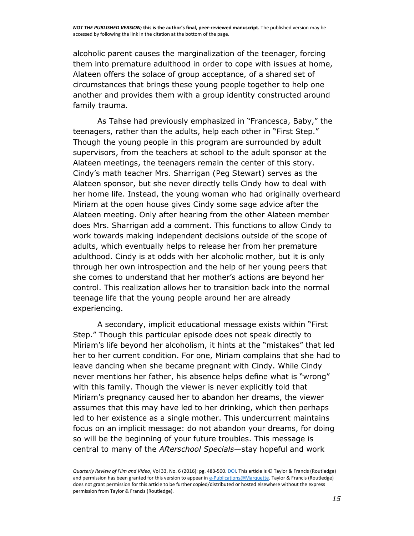alcoholic parent causes the marginalization of the teenager, forcing them into premature adulthood in order to cope with issues at home, Alateen offers the solace of group acceptance, of a shared set of circumstances that brings these young people together to help one another and provides them with a group identity constructed around family trauma.

As Tahse had previously emphasized in "Francesca, Baby," the teenagers, rather than the adults, help each other in "First Step." Though the young people in this program are surrounded by adult supervisors, from the teachers at school to the adult sponsor at the Alateen meetings, the teenagers remain the center of this story. Cindy's math teacher Mrs. Sharrigan (Peg Stewart) serves as the Alateen sponsor, but she never directly tells Cindy how to deal with her home life. Instead, the young woman who had originally overheard Miriam at the open house gives Cindy some sage advice after the Alateen meeting. Only after hearing from the other Alateen member does Mrs. Sharrigan add a comment. This functions to allow Cindy to work towards making independent decisions outside of the scope of adults, which eventually helps to release her from her premature adulthood. Cindy is at odds with her alcoholic mother, but it is only through her own introspection and the help of her young peers that she comes to understand that her mother's actions are beyond her control. This realization allows her to transition back into the normal teenage life that the young people around her are already experiencing.

A secondary, implicit educational message exists within "First Step." Though this particular episode does not speak directly to Miriam's life beyond her alcoholism, it hints at the "mistakes" that led her to her current condition. For one, Miriam complains that she had to leave dancing when she became pregnant with Cindy. While Cindy never mentions her father, his absence helps define what is "wrong" with this family. Though the viewer is never explicitly told that Miriam's pregnancy caused her to abandon her dreams, the viewer assumes that this may have led to her drinking, which then perhaps led to her existence as a single mother. This undercurrent maintains focus on an implicit message: do not abandon your dreams, for doing so will be the beginning of your future troubles. This message is central to many of the *Afterschool Specials*—stay hopeful and work

*Quarterly Review of Film and Video*, Vol 33, No. 6 (2016): pg. 483-500[. DOI.](http://dx.doi.org/10.1080/10509208.2015.1129493) This article is © Taylor & Francis (Routledge) and permission has been granted for this version to appear i[n e-Publications@Marquette.](http://epublications.marquette.edu/) Taylor & Francis (Routledge) does not grant permission for this article to be further copied/distributed or hosted elsewhere without the express permission from Taylor & Francis (Routledge).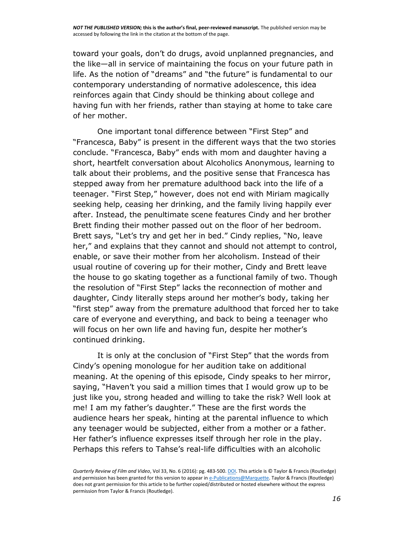toward your goals, don't do drugs, avoid unplanned pregnancies, and the like—all in service of maintaining the focus on your future path in life. As the notion of "dreams" and "the future" is fundamental to our contemporary understanding of normative adolescence, this idea reinforces again that Cindy should be thinking about college and having fun with her friends, rather than staying at home to take care of her mother.

One important tonal difference between "First Step" and "Francesca, Baby" is present in the different ways that the two stories conclude. "Francesca, Baby" ends with mom and daughter having a short, heartfelt conversation about Alcoholics Anonymous, learning to talk about their problems, and the positive sense that Francesca has stepped away from her premature adulthood back into the life of a teenager. "First Step," however, does not end with Miriam magically seeking help, ceasing her drinking, and the family living happily ever after. Instead, the penultimate scene features Cindy and her brother Brett finding their mother passed out on the floor of her bedroom. Brett says, "Let's try and get her in bed." Cindy replies, "No, leave her," and explains that they cannot and should not attempt to control, enable, or save their mother from her alcoholism. Instead of their usual routine of covering up for their mother, Cindy and Brett leave the house to go skating together as a functional family of two. Though the resolution of "First Step" lacks the reconnection of mother and daughter, Cindy literally steps around her mother's body, taking her "first step" away from the premature adulthood that forced her to take care of everyone and everything, and back to being a teenager who will focus on her own life and having fun, despite her mother's continued drinking.

It is only at the conclusion of "First Step" that the words from Cindy's opening monologue for her audition take on additional meaning. At the opening of this episode, Cindy speaks to her mirror, saying, "Haven't you said a million times that I would grow up to be just like you, strong headed and willing to take the risk? Well look at me! I am my father's daughter." These are the first words the audience hears her speak, hinting at the parental influence to which any teenager would be subjected, either from a mother or a father. Her father's influence expresses itself through her role in the play. Perhaps this refers to Tahse's real-life difficulties with an alcoholic

*Quarterly Review of Film and Video*, Vol 33, No. 6 (2016): pg. 483-500[. DOI.](http://dx.doi.org/10.1080/10509208.2015.1129493) This article is © Taylor & Francis (Routledge) and permission has been granted for this version to appear i[n e-Publications@Marquette.](http://epublications.marquette.edu/) Taylor & Francis (Routledge) does not grant permission for this article to be further copied/distributed or hosted elsewhere without the express permission from Taylor & Francis (Routledge).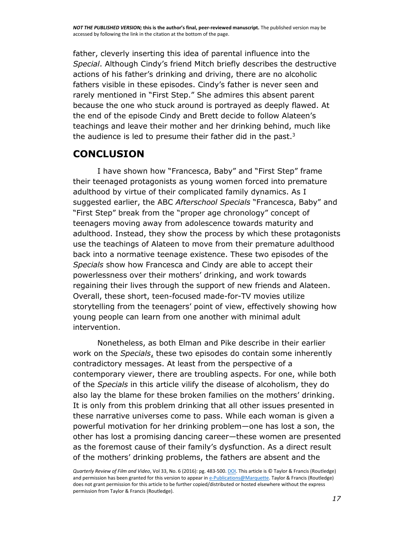father, cleverly inserting this idea of parental influence into the *Special*. Although Cindy's friend Mitch briefly describes the destructive actions of his father's drinking and driving, there are no alcoholic fathers visible in these episodes. Cindy's father is never seen and rarely mentioned in "First Step." She admires this absent parent because the one who stuck around is portrayed as deeply flawed. At the end of the episode Cindy and Brett decide to follow Alateen's teachings and leave their mother and her drinking behind, much like the audience is led to presume their father did in the past. $3$ 

## **CONCLUSION**

I have shown how "Francesca, Baby" and "First Step" frame their teenaged protagonists as young women forced into premature adulthood by virtue of their complicated family dynamics. As I suggested earlier, the ABC *Afterschool Specials* "Francesca, Baby" and "First Step" break from the "proper age chronology" concept of teenagers moving away from adolescence towards maturity and adulthood. Instead, they show the process by which these protagonists use the teachings of Alateen to move from their premature adulthood back into a normative teenage existence. These two episodes of the *Specials* show how Francesca and Cindy are able to accept their powerlessness over their mothers' drinking, and work towards regaining their lives through the support of new friends and Alateen. Overall, these short, teen-focused made-for-TV movies utilize storytelling from the teenagers' point of view, effectively showing how young people can learn from one another with minimal adult intervention.

Nonetheless, as both Elman and Pike describe in their earlier work on the *Specials*, these two episodes do contain some inherently contradictory messages. At least from the perspective of a contemporary viewer, there are troubling aspects. For one, while both of the *Specials* in this article vilify the disease of alcoholism, they do also lay the blame for these broken families on the mothers' drinking. It is only from this problem drinking that all other issues presented in these narrative universes come to pass. While each woman is given a powerful motivation for her drinking problem—one has lost a son, the other has lost a promising dancing career—these women are presented as the foremost cause of their family's dysfunction. As a direct result of the mothers' drinking problems, the fathers are absent and the

*Quarterly Review of Film and Video*, Vol 33, No. 6 (2016): pg. 483-500[. DOI.](http://dx.doi.org/10.1080/10509208.2015.1129493) This article is © Taylor & Francis (Routledge) and permission has been granted for this version to appear i[n e-Publications@Marquette.](http://epublications.marquette.edu/) Taylor & Francis (Routledge) does not grant permission for this article to be further copied/distributed or hosted elsewhere without the express permission from Taylor & Francis (Routledge).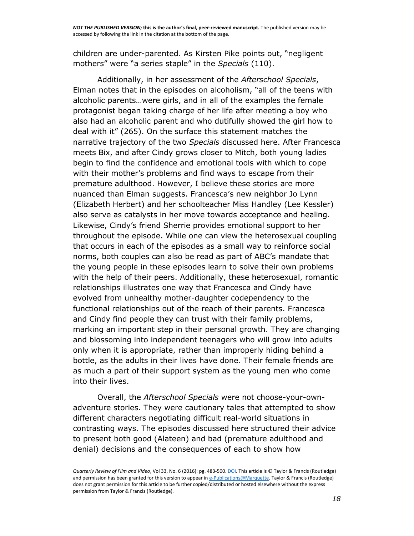children are under-parented. As Kirsten Pike points out, "negligent mothers" were "a series staple" in the *Specials* (110).

Additionally, in her assessment of the *Afterschool Specials*, Elman notes that in the episodes on alcoholism, "all of the teens with alcoholic parents…were girls, and in all of the examples the female protagonist began taking charge of her life after meeting a boy who also had an alcoholic parent and who dutifully showed the girl how to deal with it" (265). On the surface this statement matches the narrative trajectory of the two *Specials* discussed here. After Francesca meets Bix, and after Cindy grows closer to Mitch, both young ladies begin to find the confidence and emotional tools with which to cope with their mother's problems and find ways to escape from their premature adulthood. However, I believe these stories are more nuanced than Elman suggests. Francesca's new neighbor Jo Lynn (Elizabeth Herbert) and her schoolteacher Miss Handley (Lee Kessler) also serve as catalysts in her move towards acceptance and healing. Likewise, Cindy's friend Sherrie provides emotional support to her throughout the episode. While one can view the heterosexual coupling that occurs in each of the episodes as a small way to reinforce social norms, both couples can also be read as part of ABC's mandate that the young people in these episodes learn to solve their own problems with the help of their peers. Additionally, these heterosexual, romantic relationships illustrates one way that Francesca and Cindy have evolved from unhealthy mother-daughter codependency to the functional relationships out of the reach of their parents. Francesca and Cindy find people they can trust with their family problems, marking an important step in their personal growth. They are changing and blossoming into independent teenagers who will grow into adults only when it is appropriate, rather than improperly hiding behind a bottle, as the adults in their lives have done. Their female friends are as much a part of their support system as the young men who come into their lives.

Overall, the *Afterschool Specials* were not choose-your-ownadventure stories. They were cautionary tales that attempted to show different characters negotiating difficult real-world situations in contrasting ways. The episodes discussed here structured their advice to present both good (Alateen) and bad (premature adulthood and denial) decisions and the consequences of each to show how

*Quarterly Review of Film and Video*, Vol 33, No. 6 (2016): pg. 483-500[. DOI.](http://dx.doi.org/10.1080/10509208.2015.1129493) This article is © Taylor & Francis (Routledge) and permission has been granted for this version to appear i[n e-Publications@Marquette.](http://epublications.marquette.edu/) Taylor & Francis (Routledge) does not grant permission for this article to be further copied/distributed or hosted elsewhere without the express permission from Taylor & Francis (Routledge).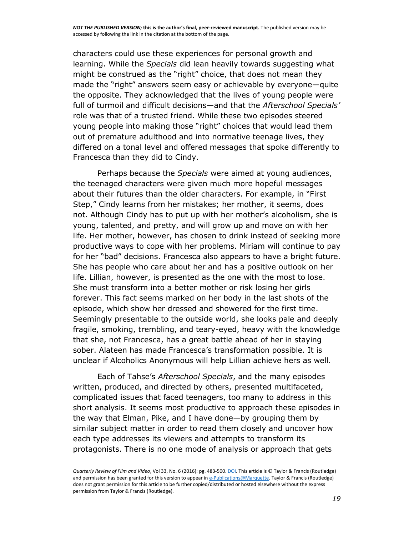characters could use these experiences for personal growth and learning. While the *Specials* did lean heavily towards suggesting what might be construed as the "right" choice, that does not mean they made the "right" answers seem easy or achievable by everyone—quite the opposite. They acknowledged that the lives of young people were full of turmoil and difficult decisions—and that the *Afterschool Specials'* role was that of a trusted friend. While these two episodes steered young people into making those "right" choices that would lead them out of premature adulthood and into normative teenage lives, they differed on a tonal level and offered messages that spoke differently to Francesca than they did to Cindy.

Perhaps because the *Specials* were aimed at young audiences, the teenaged characters were given much more hopeful messages about their futures than the older characters. For example, in "First Step," Cindy learns from her mistakes; her mother, it seems, does not. Although Cindy has to put up with her mother's alcoholism, she is young, talented, and pretty, and will grow up and move on with her life. Her mother, however, has chosen to drink instead of seeking more productive ways to cope with her problems. Miriam will continue to pay for her "bad" decisions. Francesca also appears to have a bright future. She has people who care about her and has a positive outlook on her life. Lillian, however, is presented as the one with the most to lose. She must transform into a better mother or risk losing her girls forever. This fact seems marked on her body in the last shots of the episode, which show her dressed and showered for the first time. Seemingly presentable to the outside world, she looks pale and deeply fragile, smoking, trembling, and teary-eyed, heavy with the knowledge that she, not Francesca, has a great battle ahead of her in staying sober. Alateen has made Francesca's transformation possible. It is unclear if Alcoholics Anonymous will help Lillian achieve hers as well.

Each of Tahse's *Afterschool Specials*, and the many episodes written, produced, and directed by others, presented multifaceted, complicated issues that faced teenagers, too many to address in this short analysis. It seems most productive to approach these episodes in the way that Elman, Pike, and I have done—by grouping them by similar subject matter in order to read them closely and uncover how each type addresses its viewers and attempts to transform its protagonists. There is no one mode of analysis or approach that gets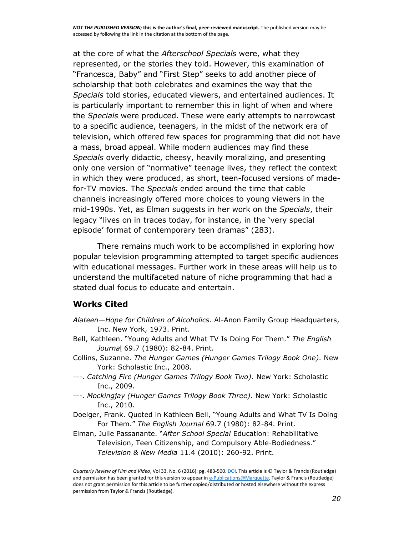*NOT THE PUBLISHED VERSION;* **this is the author's final, peer-reviewed manuscript.** The published version may be accessed by following the link in the citation at the bottom of the page.

at the core of what the *Afterschool Specials* were, what they represented, or the stories they told. However, this examination of "Francesca, Baby" and "First Step" seeks to add another piece of scholarship that both celebrates and examines the way that the *Specials* told stories, educated viewers, and entertained audiences. It is particularly important to remember this in light of when and where the *Specials* were produced. These were early attempts to narrowcast to a specific audience, teenagers, in the midst of the network era of television, which offered few spaces for programming that did not have a mass, broad appeal. While modern audiences may find these *Specials* overly didactic, cheesy, heavily moralizing, and presenting only one version of "normative" teenage lives, they reflect the context in which they were produced, as short, teen-focused versions of madefor-TV movies. The *Specials* ended around the time that cable channels increasingly offered more choices to young viewers in the mid-1990s. Yet, as Elman suggests in her work on the *Specials*, their legacy "lives on in traces today, for instance, in the 'very special episode' format of contemporary teen dramas" (283).

There remains much work to be accomplished in exploring how popular television programming attempted to target specific audiences with educational messages. Further work in these areas will help us to understand the multifaceted nature of niche programming that had a stated dual focus to educate and entertain.

#### **Works Cited**

- *Alateen—Hope for Children of Alcoholics*. Al-Anon Family Group Headquarters, Inc. New York, 1973. Print.
- Bell, Kathleen. "Young Adults and What TV Is Doing For Them." *The English Journa*l 69.7 (1980): 82-84. Print.
- Collins, Suzanne. *The Hunger Games (Hunger Games Trilogy Book One).* New York: Scholastic Inc., 2008.
- ---. *Catching Fire (Hunger Games Trilogy Book Two).* New York: Scholastic Inc., 2009.
- ---. *Mockingjay (Hunger Games Trilogy Book Three).* New York: Scholastic Inc., 2010.
- Doelger, Frank. Quoted in Kathleen Bell, "Young Adults and What TV Is Doing For Them." *The English Journal* 69.7 (1980): 82-84. Print.
- Elman, Julie Passanante. "*After School Special* Education: Rehabilitative Television, Teen Citizenship, and Compulsory Able-Bodiedness." *Television & New Media* 11.4 (2010): 260-92. Print.

*Quarterly Review of Film and Video*, Vol 33, No. 6 (2016): pg. 483-500[. DOI.](http://dx.doi.org/10.1080/10509208.2015.1129493) This article is © Taylor & Francis (Routledge) and permission has been granted for this version to appear i[n e-Publications@Marquette.](http://epublications.marquette.edu/) Taylor & Francis (Routledge) does not grant permission for this article to be further copied/distributed or hosted elsewhere without the express permission from Taylor & Francis (Routledge).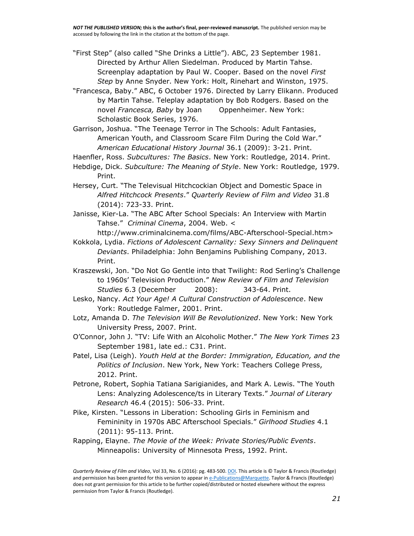"First Step" (also called "She Drinks a Little"). ABC, 23 September 1981. Directed by Arthur Allen Siedelman. Produced by Martin Tahse. Screenplay adaptation by Paul W. Cooper. Based on the novel *First Step* by Anne Snyder. New York: Holt, Rinehart and Winston, 1975.

"Francesca, Baby." ABC, 6 October 1976. Directed by Larry Elikann. Produced by Martin Tahse. Teleplay adaptation by Bob Rodgers. Based on the novel *Francesca, Baby* by Joan Oppenheimer. New York: Scholastic Book Series, 1976.

Garrison, Joshua. "The Teenage Terror in The Schools: Adult Fantasies, American Youth, and Classroom Scare Film During the Cold War." *American Educational History Journal* 36.1 (2009): 3-21. Print.

Haenfler, Ross. *Subcultures: The Basics*. New York: Routledge, 2014. Print.

Hebdige, Dick. *Subculture: The Meaning of Style*. New York: Routledge, 1979. Print.

Hersey, Curt. "The Televisual Hitchcockian Object and Domestic Space in *Alfred Hitchcock Presents*." *Quarterly Review of Film and Video* 31.8 (2014): 723-33. Print.

Janisse, Kier-La. "The ABC After School Specials: An Interview with Martin Tahse." *Criminal Cinema*, 2004. Web. <

http://www.criminalcinema.com/films/ABC-Afterschool-Special.htm> Kokkola, Lydia. *Fictions of Adolescent Carnality: Sexy Sinners and Delinquent* 

*Deviants*. Philadelphia: John Benjamins Publishing Company, 2013. Print.

Kraszewski, Jon. "Do Not Go Gentle into that Twilight: Rod Serling's Challenge to 1960s' Television Production." *New Review of Film and Television Studies* 6.3 (December 2008): 343-64. Print.

Lesko, Nancy. *Act Your Age! A Cultural Construction of Adolescence*. New York: Routledge Falmer, 2001. Print.

Lotz, Amanda D. *The Television Will Be Revolutionized*. New York: New York University Press, 2007. Print.

O'Connor, John J. "TV: Life With an Alcoholic Mother." *The New York Times* 23 September 1981, late ed.: C31. Print.

Patel, Lisa (Leigh). *Youth Held at the Border: Immigration, Education, and the Politics of Inclusion*. New York, New York: Teachers College Press, 2012. Print.

Petrone, Robert, Sophia Tatiana Sarigianides, and Mark A. Lewis. "The Youth Lens: Analyzing Adolescence/ts in Literary Texts." *Journal of Literary Research* 46.4 (2015): 506-33. Print.

Pike, Kirsten. "Lessons in Liberation: Schooling Girls in Feminism and Femininity in 1970s ABC Afterschool Specials." *Girlhood Studies* 4.1 (2011): 95-113. Print.

Rapping, Elayne. *The Movie of the Week: Private Stories/Public Events*. Minneapolis: University of Minnesota Press, 1992. Print.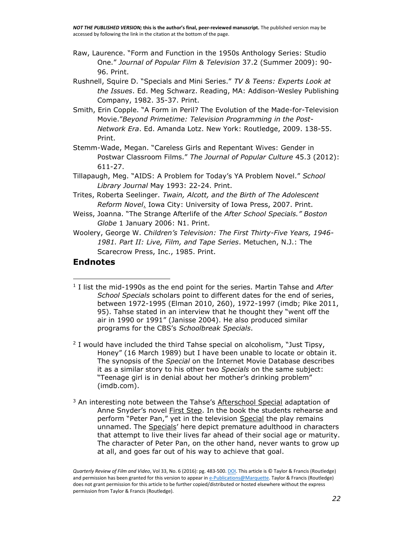*NOT THE PUBLISHED VERSION;* **this is the author's final, peer-reviewed manuscript.** The published version may be accessed by following the link in the citation at the bottom of the page.

- Raw, Laurence. "Form and Function in the 1950s Anthology Series: Studio One." *Journal of Popular Film & Television* 37.2 (Summer 2009): 90- 96. Print.
- Rushnell, Squire D. "Specials and Mini Series." *TV & Teens: Experts Look at the Issues*. Ed. Meg Schwarz. Reading, MA: Addison-Wesley Publishing Company, 1982. 35-37. Print.
- Smith, Erin Copple. "A Form in Peril? The Evolution of the Made-for-Television Movie."*Beyond Primetime: Television Programming in the Post-Network Era*. Ed. Amanda Lotz. New York: Routledge, 2009. 138-55. Print.
- Stemm-Wade, Megan. "Careless Girls and Repentant Wives: Gender in Postwar Classroom Films." *The Journal of Popular Culture* 45.3 (2012): 611-27.
- Tillapaugh, Meg. "AIDS: A Problem for Today's YA Problem Novel." *School Library Journal* May 1993: 22-24. Print.
- Trites, Roberta Seelinger. *Twain, Alcott, and the Birth of The Adolescent Reform Novel*. Iowa City: University of Iowa Press, 2007. Print.
- Weiss, Joanna. "The Strange Afterlife of the *After School Specials." Boston Globe* 1 January 2006: N1. Print.
- Woolery, George W. *Children's Television: The First Thirty-Five Years, 1946- 1981. Part II: Live, Film, and Tape Series*. Metuchen, N.J.: The Scarecrow Press, Inc., 1985. Print.

#### **Endnotes**

 $\overline{a}$ 

- 1 I list the mid-1990s as the end point for the series. Martin Tahse and *After School Specials* scholars point to different dates for the end of series, between 1972-1995 (Elman 2010, 260), 1972-1997 (imdb; Pike 2011, 95). Tahse stated in an interview that he thought they "went off the air in 1990 or 1991" (Janisse 2004). He also produced similar programs for the CBS's *Schoolbreak Specials*.
- <sup>2</sup> I would have included the third Tahse special on alcoholism, "Just Tipsy, Honey" (16 March 1989) but I have been unable to locate or obtain it. The synopsis of the *Special* on the Internet Movie Database describes it as a similar story to his other two *Specials* on the same subject: "Teenage girl is in denial about her mother's drinking problem" (imdb.com).
- $3$  An interesting note between the Tahse's Afterschool Special adaptation of Anne Snyder's novel First Step. In the book the students rehearse and perform "Peter Pan," yet in the television Special the play remains unnamed. The Specials' here depict premature adulthood in characters that attempt to live their lives far ahead of their social age or maturity. The character of Peter Pan, on the other hand, never wants to grow up at all, and goes far out of his way to achieve that goal.

*Quarterly Review of Film and Video*, Vol 33, No. 6 (2016): pg. 483-500[. DOI.](http://dx.doi.org/10.1080/10509208.2015.1129493) This article is © Taylor & Francis (Routledge) and permission has been granted for this version to appear i[n e-Publications@Marquette.](http://epublications.marquette.edu/) Taylor & Francis (Routledge) does not grant permission for this article to be further copied/distributed or hosted elsewhere without the express permission from Taylor & Francis (Routledge).